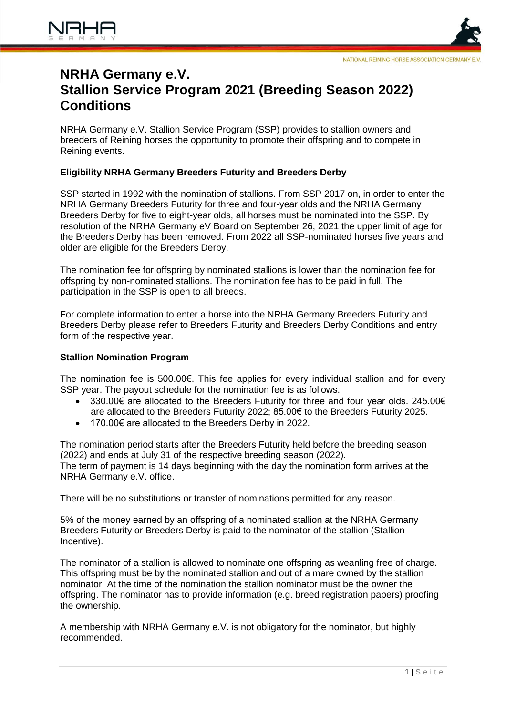

# **NRHA Germany e.V. Stallion Service Program 2021 (Breeding Season 2022) Conditions**

NRHA Germany e.V. Stallion Service Program (SSP) provides to stallion owners and breeders of Reining horses the opportunity to promote their offspring and to compete in Reining events.

# **Eligibility NRHA Germany Breeders Futurity and Breeders Derby**

SSP started in 1992 with the nomination of stallions. From SSP 2017 on, in order to enter the NRHA Germany Breeders Futurity for three and four-year olds and the NRHA Germany Breeders Derby for five to eight-year olds, all horses must be nominated into the SSP. By resolution of the NRHA Germany eV Board on September 26, 2021 the upper limit of age for the Breeders Derby has been removed. From 2022 all SSP-nominated horses five years and older are eligible for the Breeders Derby.

The nomination fee for offspring by nominated stallions is lower than the nomination fee for offspring by non-nominated stallions. The nomination fee has to be paid in full. The participation in the SSP is open to all breeds.

For complete information to enter a horse into the NRHA Germany Breeders Futurity and Breeders Derby please refer to Breeders Futurity and Breeders Derby Conditions and entry form of the respective year.

# **Stallion Nomination Program**

The nomination fee is 500.00€. This fee applies for every individual stallion and for every SSP year. The payout schedule for the nomination fee is as follows.

- 330.00€ are allocated to the Breeders Futurity for three and four year olds. 245.00€ are allocated to the Breeders Futurity 2022; 85.00€ to the Breeders Futurity 2025.
- 170.00€ are allocated to the Breeders Derby in 2022.

The nomination period starts after the Breeders Futurity held before the breeding season (2022) and ends at July 31 of the respective breeding season (2022). The term of payment is 14 days beginning with the day the nomination form arrives at the NRHA Germany e.V. office.

There will be no substitutions or transfer of nominations permitted for any reason.

5% of the money earned by an offspring of a nominated stallion at the NRHA Germany Breeders Futurity or Breeders Derby is paid to the nominator of the stallion (Stallion Incentive).

The nominator of a stallion is allowed to nominate one offspring as weanling free of charge. This offspring must be by the nominated stallion and out of a mare owned by the stallion nominator. At the time of the nomination the stallion nominator must be the owner the offspring. The nominator has to provide information (e.g. breed registration papers) proofing the ownership.

A membership with NRHA Germany e.V. is not obligatory for the nominator, but highly recommended.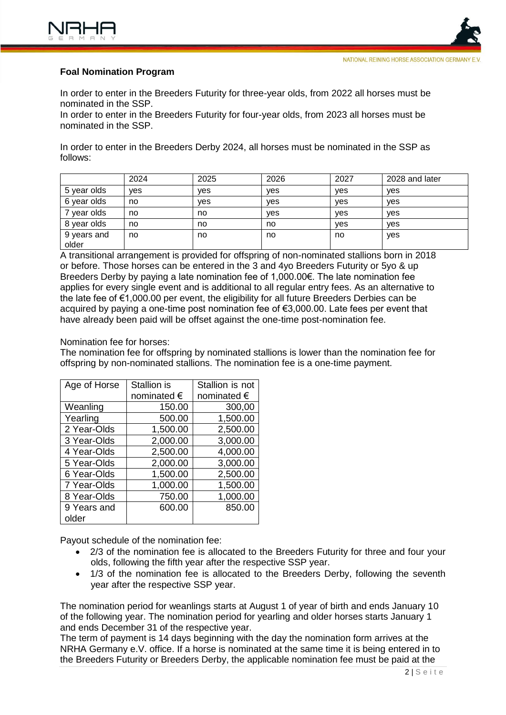

# **Foal Nomination Program**

In order to enter in the Breeders Futurity for three-year olds, from 2022 all horses must be nominated in the SSP.

In order to enter in the Breeders Futurity for four-year olds, from 2023 all horses must be nominated in the SSP.

In order to enter in the Breeders Derby 2024, all horses must be nominated in the SSP as follows:

|                      | 2024 | 2025 | 2026 | 2027       | 2028 and later |
|----------------------|------|------|------|------------|----------------|
| 5 year olds          | ves  | ves  | yes  | <b>ves</b> | yes            |
| 6 year olds          | no   | ves  | yes  | ves        | yes            |
| year olds            | no   | no   | ves  | <b>ves</b> | ves            |
| 8 year olds          | no   | no   | no   | yes        | yes            |
| 9 years and<br>older | no   | no   | no   | no         | yes            |

A transitional arrangement is provided for offspring of non-nominated stallions born in 2018 or before. Those horses can be entered in the 3 and 4yo Breeders Futurity or 5yo & up Breeders Derby by paying a late nomination fee of 1,000.00€. The late nomination fee applies for every single event and is additional to all regular entry fees. As an alternative to the late fee of €1,000.00 per event, the eligibility for all future Breeders Derbies can be acquired by paying a one-time post nomination fee of €3,000.00. Late fees per event that have already been paid will be offset against the one-time post-nomination fee.

#### Nomination fee for horses:

The nomination fee for offspring by nominated stallions is lower than the nomination fee for offspring by non-nominated stallions. The nomination fee is a one-time payment.

| Age of Horse | Stallion is | Stallion is not |  |
|--------------|-------------|-----------------|--|
|              | nominated € | nominated €     |  |
| Weanling     | 150.00      | 300,00          |  |
| Yearling     | 500.00      | 1,500.00        |  |
| 2 Year-Olds  | 1,500.00    | 2,500.00        |  |
| 3 Year-Olds  | 2,000.00    | 3,000.00        |  |
| 4 Year-Olds  | 2,500.00    | 4,000.00        |  |
| 5 Year-Olds  | 2,000.00    | 3,000.00        |  |
| 6 Year-Olds  | 1,500.00    | 2,500.00        |  |
| 7 Year-Olds  | 1,000.00    | 1,500.00        |  |
| 8 Year-Olds  | 750.00      | 1,000.00        |  |
| 9 Years and  | 600.00      | 850.00          |  |
| older        |             |                 |  |

Payout schedule of the nomination fee:

- 2/3 of the nomination fee is allocated to the Breeders Futurity for three and four your olds, following the fifth year after the respective SSP year.
- 1/3 of the nomination fee is allocated to the Breeders Derby, following the seventh year after the respective SSP year.

The nomination period for weanlings starts at August 1 of year of birth and ends January 10 of the following year. The nomination period for yearling and older horses starts January 1 and ends December 31 of the respective year.

The term of payment is 14 days beginning with the day the nomination form arrives at the NRHA Germany e.V. office. If a horse is nominated at the same time it is being entered in to the Breeders Futurity or Breeders Derby, the applicable nomination fee must be paid at the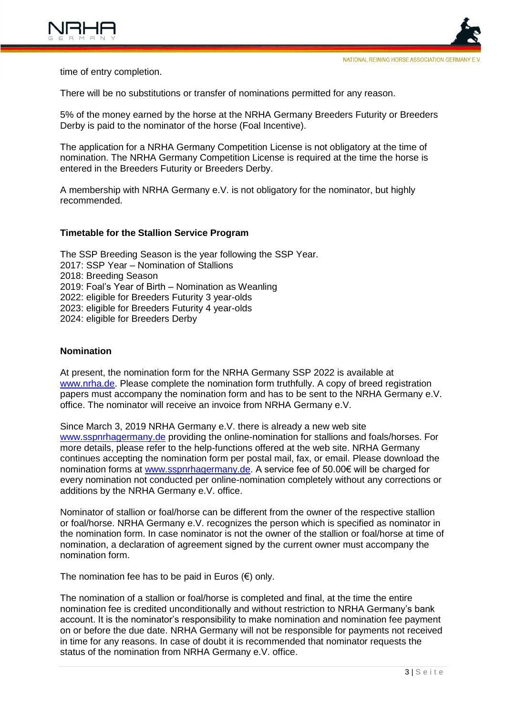time of entry completion.

There will be no substitutions or transfer of nominations permitted for any reason.

5% of the money earned by the horse at the NRHA Germany Breeders Futurity or Breeders Derby is paid to the nominator of the horse (Foal Incentive).

The application for a NRHA Germany Competition License is not obligatory at the time of nomination. The NRHA Germany Competition License is required at the time the horse is entered in the Breeders Futurity or Breeders Derby.

A membership with NRHA Germany e.V. is not obligatory for the nominator, but highly recommended.

# **Timetable for the Stallion Service Program**

The SSP Breeding Season is the year following the SSP Year. 2017: SSP Year – Nomination of Stallions 2018: Breeding Season 2019: Foal's Year of Birth – Nomination as Weanling 2022: eligible for Breeders Futurity 3 year-olds 2023: eligible for Breeders Futurity 4 year-olds 2024: eligible for Breeders Derby

#### **Nomination**

At present, the nomination form for the NRHA Germany SSP 2022 is available at [www.nrha.de.](http://www.nrha.de/) Please complete the nomination form truthfully. A copy of breed registration papers must accompany the nomination form and has to be sent to the NRHA Germany e.V. office. The nominator will receive an invoice from NRHA Germany e.V.

Since March 3, 2019 NRHA Germany e.V. there is already a new web site [www.sspnrhagermany.de](http://www.sspnrhagermany.de/) providing the online-nomination for stallions and foals/horses. For more details, please refer to the help-functions offered at the web site. NRHA Germany continues accepting the nomination form per postal mail, fax, or email. Please download the nomination forms at [www.sspnrhagermany.de.](http://www.sspnrhagermany.de/) A service fee of 50.00€ will be charged for every nomination not conducted per online-nomination completely without any corrections or additions by the NRHA Germany e.V. office.

Nominator of stallion or foal/horse can be different from the owner of the respective stallion or foal/horse. NRHA Germany e.V. recognizes the person which is specified as nominator in the nomination form. In case nominator is not the owner of the stallion or foal/horse at time of nomination, a declaration of agreement signed by the current owner must accompany the nomination form.

The nomination fee has to be paid in Euros  $(\epsilon)$  only.

The nomination of a stallion or foal/horse is completed and final, at the time the entire nomination fee is credited [unconditionally](https://dict.leo.org/englisch-deutsch/unconditionally) [and](https://dict.leo.org/englisch-deutsch/and) [without](https://dict.leo.org/englisch-deutsch/without) [restriction](https://dict.leo.org/englisch-deutsch/restriction) to NRHA Germany's bank account. It is the nominator's responsibility to make nomination and nomination fee payment on or before the due date. NRHA Germany will not be responsible for payments not received in time for any reasons. In case of doubt it is recommended that nominator requests the status of the nomination from NRHA Germany e.V. office.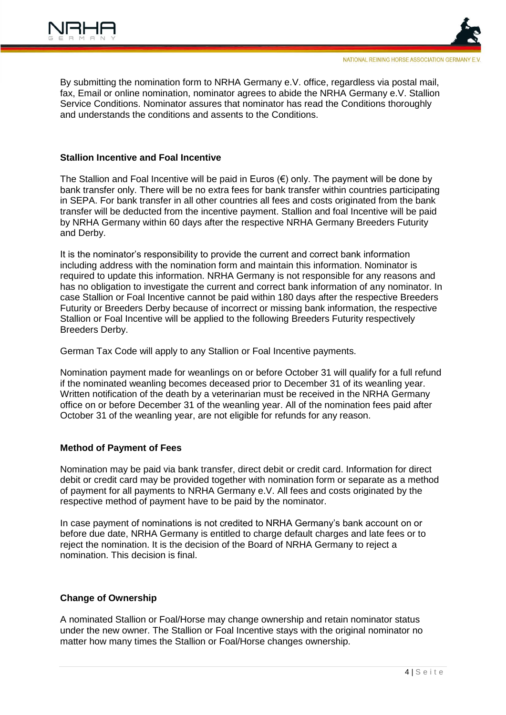

By submitting the nomination form to NRHA Germany e.V. office, regardless via postal mail, fax, Email or online nomination, nominator agrees to abide the NRHA Germany e.V. Stallion Service Conditions. Nominator assures that nominator has read the Conditions thoroughly and understands the conditions and assents to the Conditions.

#### **Stallion Incentive and Foal Incentive**

The Stallion and Foal Incentive will be paid in Euros  $(\epsilon)$  only. The payment will be done by bank transfer only. There will be no extra fees for bank transfer within countries participating in SEPA. For bank transfer in all other countries all fees and costs originated from the bank transfer will be deducted from the incentive payment. Stallion and foal Incentive will be paid by NRHA Germany within 60 days after the respective NRHA Germany Breeders Futurity and Derby.

It is the nominator's responsibility to provide the current and correct bank information including address with the nomination form and maintain this information. Nominator is required to update this information. NRHA Germany is not responsible for any reasons and has no obligation to investigate the current and correct bank information of any nominator. In case Stallion or Foal Incentive cannot be paid within 180 days after the respective Breeders Futurity or Breeders Derby because of incorrect or missing bank information, the respective Stallion or Foal Incentive will be applied to the following Breeders Futurity respectively Breeders Derby.

German Tax Code will apply to any Stallion or Foal Incentive payments.

Nomination payment made for weanlings on or before October 31 will qualify for a full refund if the nominated weanling becomes deceased prior to December 31 of its weanling year. Written notification of the death by a veterinarian must be received in the NRHA Germany office on or before December 31 of the weanling year. All of the nomination fees paid after October 31 of the weanling year, are not eligible for refunds for any reason.

# **Method of Payment of Fees**

Nomination may be paid via bank transfer, direct debit or credit card. Information for direct debit or credit card may be provided together with nomination form or separate as a method of payment for all payments to NRHA Germany e.V. All fees and costs originated by the respective method of payment have to be paid by the nominator.

In case payment of nominations is not credited to NRHA Germany's bank account on or before due date, NRHA Germany is entitled to charge default charges and late fees or to reject the nomination. It is the decision of the Board of NRHA Germany to reject a nomination. This decision is final.

# **Change of Ownership**

A nominated Stallion or Foal/Horse may change ownership and retain nominator status under the new owner. The Stallion or Foal Incentive stays with the original nominator no matter how many times the Stallion or Foal/Horse changes ownership.